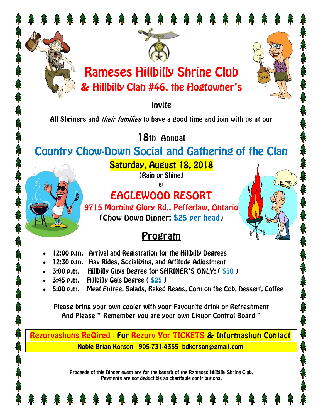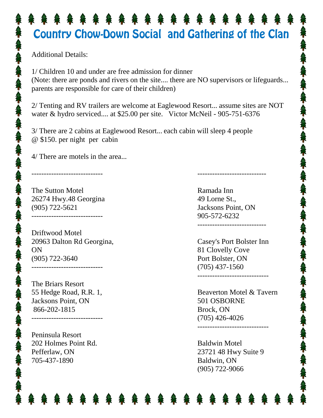## Country Chow-Down Social and Gathering of the Clan

Additional Details:

1/ Children 10 and under are free admission for dinner (Note: there are ponds and rivers on the site.... there are NO supervisors or lifeguards... parents are responsible for care of their children)

2/ Tenting and RV trailers are welcome at Eaglewood Resort... assume sites are NOT water & hydro serviced.... at \$25.00 per site. Victor McNeil - 905-751-6376

3/ There are 2 cabins at Eaglewood Resort... each cabin will sleep 4 people @ \$150. per night per cabin

4/ There are motels in the area...

The Sutton Motel 26274 Hwy.48 Georgina (905) 722-5621 -----------------------------

-----------------------------

Driftwood Motel 20963 Dalton Rd Georgina, ON (905) 722-3640

The Briars Resort 55 Hedge Road, R.R. 1, Jacksons Point, ON 866-202-1815

-----------------------------

-----------------------------

Peninsula Resort 202 Holmes Point Rd. Pefferlaw, ON 705-437-1890

Ramada Inn 49 Lorne St., Jacksons Point, ON 905-572-6232 ----------------------------

----------------------------

Casey's Port Bolster Inn 81 Clovelly Cove Port Bolster, ON (705) 437-1560 -----------------------------

Beaverton Motel & Tavern 501 OSBORNE Brock, ON (705) 426-4026

-----------------------------

Baldwin Motel 23721 48 Hwy Suite 9 Baldwin, ON (905) 722-9066